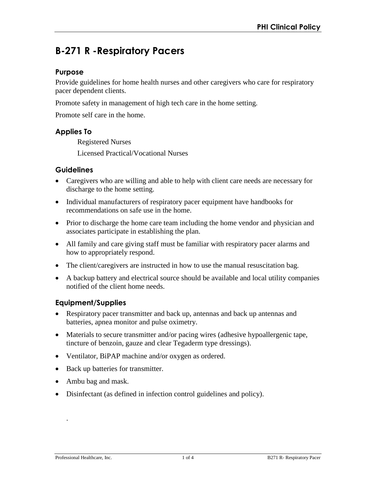# **B-271 R -Respiratory Pacers**

#### **Purpose**

Provide guidelines for home health nurses and other caregivers who care for respiratory pacer dependent clients.

Promote safety in management of high tech care in the home setting.

Promote self care in the home.

## **Applies To**

Registered Nurses Licensed Practical/Vocational Nurses

## **Guidelines**

- Caregivers who are willing and able to help with client care needs are necessary for discharge to the home setting.
- Individual manufacturers of respiratory pacer equipment have handbooks for recommendations on safe use in the home.
- Prior to discharge the home care team including the home vendor and physician and associates participate in establishing the plan.
- All family and care giving staff must be familiar with respiratory pacer alarms and how to appropriately respond.
- The client/caregivers are instructed in how to use the manual resuscitation bag.
- A backup battery and electrical source should be available and local utility companies notified of the client home needs.

## **Equipment/Supplies**

- Respiratory pacer transmitter and back up, antennas and back up antennas and batteries, apnea monitor and pulse oximetry.
- Materials to secure transmitter and/or pacing wires (adhesive hypoallergenic tape, tincture of benzoin, gauze and clear Tegaderm type dressings).
- Ventilator, BiPAP machine and/or oxygen as ordered.
- Back up batteries for transmitter.
- Ambu bag and mask.
- Disinfectant (as defined in infection control guidelines and policy).

.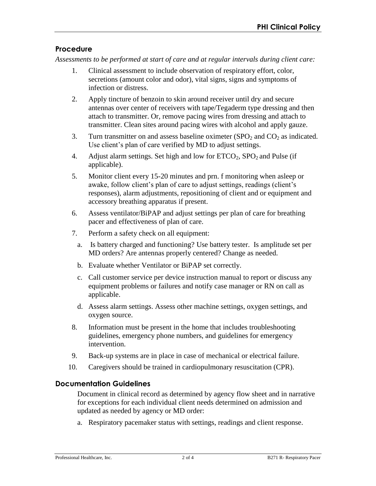# **Procedure**

*Assessments to be performed at start of care and at regular intervals during client care:* 

- 1. Clinical assessment to include observation of respiratory effort, color, secretions (amount color and odor), vital signs, signs and symptoms of infection or distress.
- 2. Apply tincture of benzoin to skin around receiver until dry and secure antennas over center of receivers with tape/Tegaderm type dressing and then attach to transmitter. Or, remove pacing wires from dressing and attach to transmitter. Clean sites around pacing wires with alcohol and apply gauze.
- 3. Turn transmitter on and assess baseline oximeter  $(SPO<sub>2</sub>$  and  $CO<sub>2</sub>$  as indicated. Use client's plan of care verified by MD to adjust settings.
- 4. Adjust alarm settings. Set high and low for  $ETCO<sub>2</sub>$ ,  $SPO<sub>2</sub>$  and Pulse (if applicable).
- 5. Monitor client every 15-20 minutes and prn. f monitoring when asleep or awake, follow client's plan of care to adjust settings, readings (client's responses), alarm adjustments, repositioning of client and or equipment and accessory breathing apparatus if present.
- 6. Assess ventilator/BiPAP and adjust settings per plan of care for breathing pacer and effectiveness of plan of care.
- 7. Perform a safety check on all equipment:
	- a. Is battery charged and functioning? Use battery tester. Is amplitude set per MD orders? Are antennas properly centered? Change as needed.
	- b. Evaluate whether Ventilator or BiPAP set correctly.
	- c. Call customer service per device instruction manual to report or discuss any equipment problems or failures and notify case manager or RN on call as applicable.
	- d. Assess alarm settings. Assess other machine settings, oxygen settings, and oxygen source.
- 8. Information must be present in the home that includes troubleshooting guidelines, emergency phone numbers, and guidelines for emergency intervention.
- 9. Back-up systems are in place in case of mechanical or electrical failure.
- 10. Caregivers should be trained in cardiopulmonary resuscitation (CPR).

# **Documentation Guidelines**

Document in clinical record as determined by agency flow sheet and in narrative for exceptions for each individual client needs determined on admission and updated as needed by agency or MD order:

a. Respiratory pacemaker status with settings, readings and client response.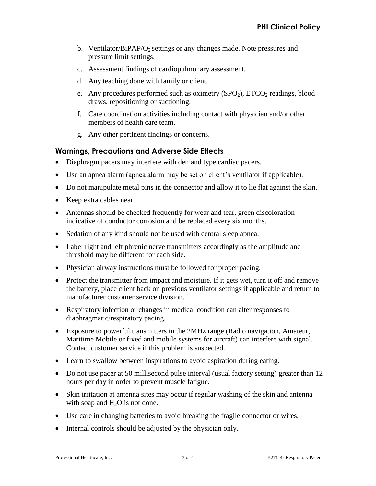- b. Ventilator/BiPAP/O<sub>2</sub> settings or any changes made. Note pressures and pressure limit settings.
- c. Assessment findings of cardiopulmonary assessment.
- d. Any teaching done with family or client.
- e. Any procedures performed such as oximetry  $(SPO<sub>2</sub>)$ ,  $ETCO<sub>2</sub>$  readings, blood draws, repositioning or suctioning.
- f. Care coordination activities including contact with physician and/or other members of health care team.
- g. Any other pertinent findings or concerns.

# **Warnings, Precautions and Adverse Side Effects**

- Diaphragm pacers may interfere with demand type cardiac pacers.
- Use an apnea alarm (apnea alarm may be set on client's ventilator if applicable).
- Do not manipulate metal pins in the connector and allow it to lie flat against the skin.
- Keep extra cables near.
- Antennas should be checked frequently for wear and tear, green discoloration indicative of conductor corrosion and be replaced every six months.
- Sedation of any kind should not be used with central sleep apnea.
- Label right and left phrenic nerve transmitters accordingly as the amplitude and threshold may be different for each side.
- Physician airway instructions must be followed for proper pacing.
- Protect the transmitter from impact and moisture. If it gets wet, turn it off and remove the battery, place client back on previous ventilator settings if applicable and return to manufacturer customer service division.
- Respiratory infection or changes in medical condition can alter responses to diaphragmatic/respiratory pacing.
- Exposure to powerful transmitters in the 2MHz range (Radio navigation, Amateur, Maritime Mobile or fixed and mobile systems for aircraft) can interfere with signal. Contact customer service if this problem is suspected.
- Learn to swallow between inspirations to avoid aspiration during eating.
- Do not use pacer at 50 millisecond pulse interval (usual factory setting) greater than 12 hours per day in order to prevent muscle fatigue.
- Skin irritation at antenna sites may occur if regular washing of the skin and antenna with soap and  $H_2O$  is not done.
- Use care in changing batteries to avoid breaking the fragile connector or wires.
- Internal controls should be adjusted by the physician only.